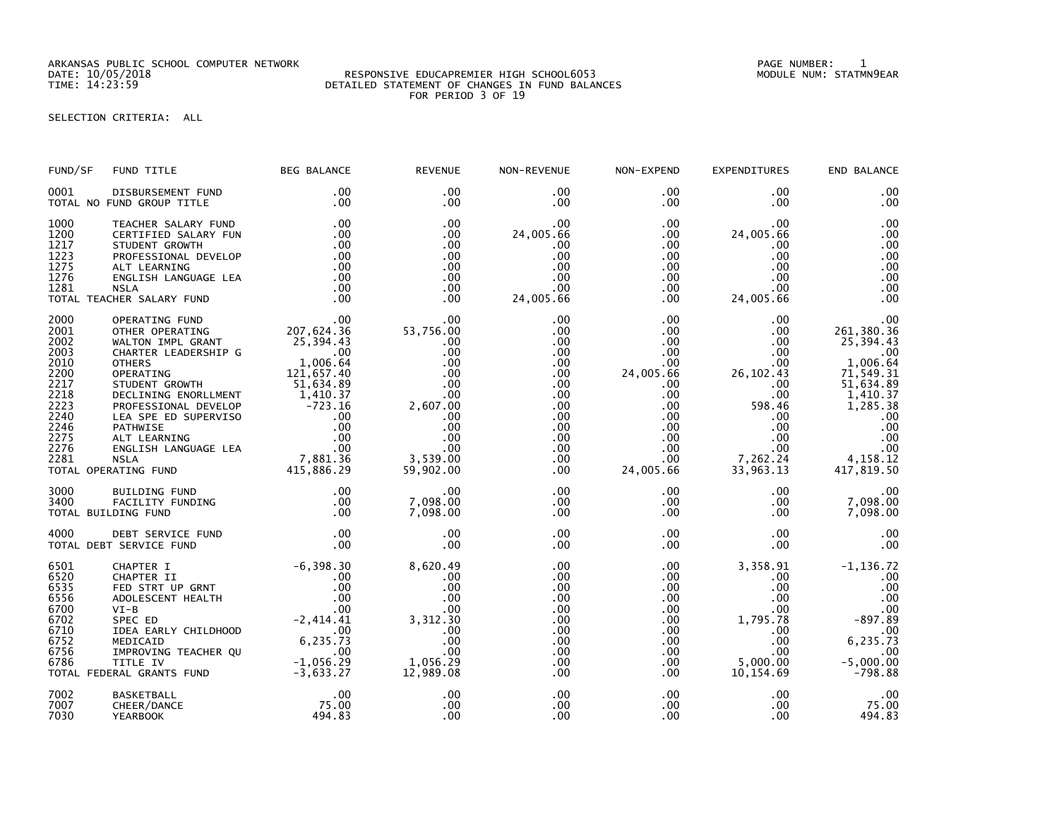ARKANSAS PUBLIC SCHOOL COMPUTER NETWORK PAGE NUMBER: 1

## RESPONSIVE EDUCAPREMIER HIGH SCHOOL6053 DETAILED STATEMENT OF CHANGES IN FUND BALANCES FOR PERIOD 3 OF 19

SELECTION CRITERIA: ALL

| FUND/SF                                                                                                      | FUND TITLE                                                                                                                                                                                                                                                                                                                                                         | <b>BEG BALANCE</b>                                                                                                                        | <b>REVENUE</b>                                                                                                              | NON-REVENUE                                                                                                     | NON-EXPEND                                                                                                                                                        | EXPENDITURES                                                                                                                          | END BALANCE                                                                                                                                                 |
|--------------------------------------------------------------------------------------------------------------|--------------------------------------------------------------------------------------------------------------------------------------------------------------------------------------------------------------------------------------------------------------------------------------------------------------------------------------------------------------------|-------------------------------------------------------------------------------------------------------------------------------------------|-----------------------------------------------------------------------------------------------------------------------------|-----------------------------------------------------------------------------------------------------------------|-------------------------------------------------------------------------------------------------------------------------------------------------------------------|---------------------------------------------------------------------------------------------------------------------------------------|-------------------------------------------------------------------------------------------------------------------------------------------------------------|
| 0001                                                                                                         | DISBURSEMENT FUND<br>TOTAL NO FUND GROUP TITLE                                                                                                                                                                                                                                                                                                                     | $.00 \,$<br>.00                                                                                                                           | $.00 \times$<br>.00                                                                                                         | $.00 \,$<br>.00                                                                                                 | $.00 \,$<br>$.00 \,$                                                                                                                                              | .00<br>.00.                                                                                                                           | .00<br>.00                                                                                                                                                  |
| 1000<br>1200<br>1217<br>1223<br>1275<br>1276<br>1281                                                         | TEACHER SALARY FUND<br>CERTIFIED SALARY FUN<br>STUDENT GROWTH<br>PROFESSIONAL DEVELOP<br>ALT LEARNING<br>ENGLISH LANGUAGE LEA<br><b>NSLA</b><br>TOTAL TEACHER SALARY FUND                                                                                                                                                                                          | .00<br>.00<br>.00<br>.00<br>.00<br>.00<br>.00<br>.00                                                                                      | .00<br>.00<br>.00<br>.00<br>.00<br>.00<br>.00<br>.00                                                                        | .00<br>24,005.66<br>.00<br>.00<br>.00<br>.00<br>.00<br>24,005.66                                                | $.00 \,$<br>$.00 \,$<br>$.00 \,$<br>$.00 \,$<br>$.00 \,$<br>$.00 \,$<br>$.00 \,$<br>$.00 \,$                                                                      | .00<br>24,005.66<br>$.00 \,$<br>.00<br>.00<br>.00<br>.00<br>24,005.66                                                                 | .00<br>.00<br>.00<br>.00<br>.00<br>.00<br>.00<br>.00                                                                                                        |
| 2000<br>2001<br>2002<br>2003<br>2010<br>2200<br>2217<br>2218<br>2223<br>2240<br>2246<br>2275<br>2276<br>2281 | OPERATING FUND<br>OTHER OPERATING<br>WALTON IMPL GRANT<br>CHARTER LEADERSHIP G<br><b>OTHERS</b><br>OPERATING<br>PERAIL:<br>JTUDENT GROWTH<br>DECLINING ENORLLMENT<br>PROFESSIONAL DEVELOP<br>LEA SPE ED SUPERVISO 00<br>PATHWISE 00<br>ATT LEARNING 00<br>AIT LEARNING 00<br>AIT LEARNING 00<br>AIT LANGUAGE LEA<br>7,881.36<br>415,886.29<br>TOTAL OPERATING FUND | $207,624.36$<br>25,394.43<br>25,394.43<br>00<br>1,006.64<br>121,657.40<br>51,634.89                                                       | .00<br>53,756.00<br>.00<br>.00<br>.00<br>.00<br>.00<br>.00<br>2,607.00<br>.00<br>.00<br>.00<br>.00<br>3,539.00<br>59,902.00 | .00<br>.00<br>.00<br>.00<br>.00<br>.00<br>.00<br>.00<br>.00<br>$.00 \,$<br>.00<br>$.00 \,$<br>.00<br>.00<br>.00 | .00 <sub>1</sub><br>.00<br>.00<br>$.00 \,$<br>.00<br>24,005.66<br>$.00 \,$<br>$.00 \,$<br>.00<br>$.00 \,$<br>$.00 \,$<br>$.00 \,$<br>.00<br>$.00 \,$<br>24,005.66 | .00<br>.00<br>.00<br>.00<br>.00<br>26, 102.43<br>.00<br>.00<br>598.46<br>.00.<br>$.00 \,$<br>.00<br>$.00 \,$<br>7,262.24<br>33,963.13 | .00<br>261,380.36<br>25,394.43<br>.00<br>1,006.64<br>71, 549.31<br>51, 634.89<br>1,410.37<br>1,285.38<br>.00<br>.00<br>.00<br>.00<br>4,158.12<br>417,819.50 |
| 3000<br>3400                                                                                                 | BUILDING FUND<br>FACILITY FUNDING<br>TOTAL BUILDING FUND                                                                                                                                                                                                                                                                                                           | .00<br>.00<br>.00                                                                                                                         | .00<br>7,098.00<br>7,098.00                                                                                                 | $.00 \,$<br>.00<br>.00                                                                                          | $.00 \,$<br>$.00 \,$<br>$.00 \,$                                                                                                                                  | $.00 \,$<br>$.00 \,$<br>$.00 \,$                                                                                                      | .00<br>7,098.00<br>7,098.00                                                                                                                                 |
| 4000                                                                                                         | DEBT SERVICE FUND<br>TOTAL DEBT SERVICE FUND                                                                                                                                                                                                                                                                                                                       | .00<br>.00                                                                                                                                | .00<br>.00                                                                                                                  | .00<br>.00                                                                                                      | $.00 \,$<br>$.00 \,$                                                                                                                                              | .00<br>.00                                                                                                                            | .00<br>.00                                                                                                                                                  |
| 6501<br>6520<br>6535<br>6556<br>6700<br>6702<br>6710<br>6752<br>6756<br>6786                                 | CHAPTER I<br>CHAPTER II<br>FED STRT UP GRNT<br>ADOLESCENT HEALTH<br>$VI-B$<br>SPEC ED<br>IDEA EARLY CHILDHOOD<br>MEDICAID<br>IMPROVING TEACHER QU<br>TITLE IV<br>TOTAL FEDERAL GRANTS FUND                                                                                                                                                                         | $-6, 398.30$<br>.00<br>.00<br>.00<br>.00<br>$-2,414.41$<br>$\overline{\phantom{0}}$ .00<br>6, 235.73<br>.00<br>$-1,056.29$<br>$-3,633.27$ | 8,620.49<br>.00<br>.00<br>.00<br>.00<br>3,312.30<br>.00<br>.00<br>.00<br>1,056.29<br>12,989.08                              | .00<br>.00<br>.00<br>.00<br>.00<br>.00<br>.00<br>.00<br>.00<br>.00<br>.00                                       | $.00 \,$<br>$.00 \,$<br>.00<br>$.00 \,$<br>$.00 \,$<br>$.00 \,$<br>.00<br>$.00 \,$<br>$.00 \,$<br>$.00 \,$<br>$.00 \,$                                            | 3,358.91<br>.00.<br>.00<br>$.00 \,$<br>.00 <sub>1</sub><br>1,795.78<br>.00<br>.00<br>$.00 \,$<br>5,000.00<br>10, 154.69               | $-1, 136.72$<br>.00<br>.00<br>.00<br>.00<br>$-897.89$<br>$00$ .<br>6,235.73<br>.00<br>$-5,000.00$<br>$-798.88$                                              |
| 7002<br>7007<br>7030                                                                                         | <b>BASKETBALL</b><br>CHEER/DANCE<br><b>YEARBOOK</b>                                                                                                                                                                                                                                                                                                                | .00<br>75.00<br>494.83                                                                                                                    | .00<br>.00<br>.00                                                                                                           | .00<br>.00<br>.00                                                                                               | .00<br>$.00 \,$<br>.00                                                                                                                                            | .00.<br>.00<br>.00                                                                                                                    | .00<br>75.00<br>494.83                                                                                                                                      |